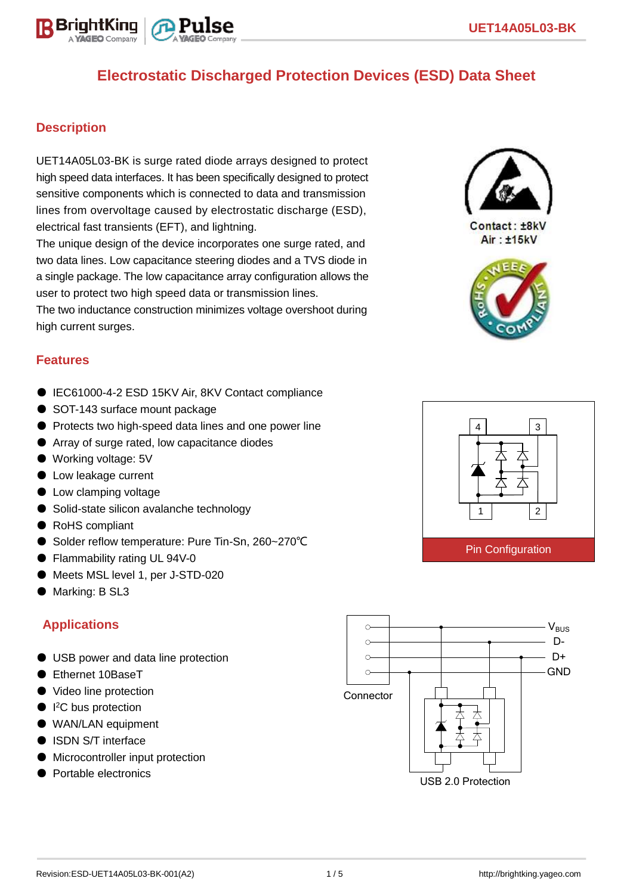

#### **Description**

BriahtKino

UET14A05L03-BK is surge rated diode arrays designed to protect high speed data interfaces. It has been specifically designed to protect sensitive components which is connected to data and transmission lines from overvoltage caused by electrostatic discharge (ESD), electrical fast transients (EFT), and lightning.

The unique design of the device incorporates one surge rated, and two data lines. Low capacitance steering diodes and a TVS diode in a single package. The low capacitance array configuration allows the user to protect two high speed data or transmission lines.

The two inductance construction minimizes voltage overshoot during high current surges.

#### **Features**

- IEC61000-4-2 ESD 15KV Air, 8KV Contact compliance
- SOT-143 surface mount package
- Protects two high-speed data lines and one power line
- Array of surge rated, low capacitance diodes
- Working voltage: 5V
- Low leakage current
- Low clamping voltage
- Solid-state silicon avalanche technology
- RoHS compliant
- Solder reflow temperature: Pure Tin-Sn, 260~270°C
- Flammability rating UL 94V-0
- Meets MSL level 1, per J-STD-020
- Marking: B SL3

### **Applications**

- USB power and data line protection
- Ethernet 10BaseT
- Video line protection
- $\bullet$  I<sup>2</sup>C bus protection
- WAN/LAN equipment
- ISDN S/T interface
- Microcontroller input protection
- Portable electronics





Contact: ±8kV Air: ±15kV



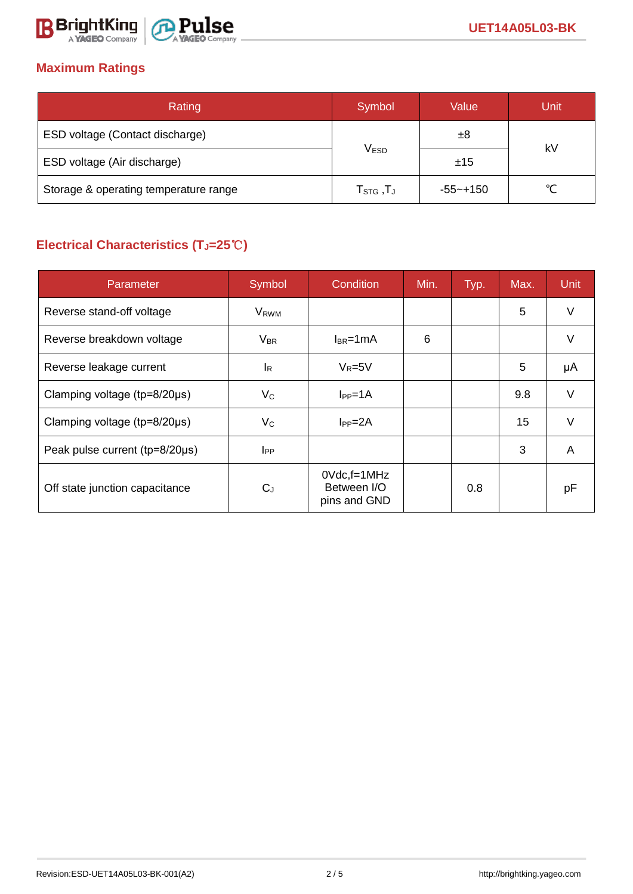

### **Maximum Ratings**

| Rating                                | Symbol                                          | Value        | Unit |  |
|---------------------------------------|-------------------------------------------------|--------------|------|--|
| ESD voltage (Contact discharge)       |                                                 | ±8           |      |  |
| ESD voltage (Air discharge)           | <b>VESD</b>                                     | ±15          | kV   |  |
| Storage & operating temperature range | ${\sf T}_{\mathsf{STG}}\,,{\sf T}_{\mathsf{J}}$ | $-55 - +150$ | ∽    |  |

# **Electrical Characteristics (TJ=25**℃**)**

| Parameter                              | Symbol                  | Condition                                      | Min. | Typ. | Max. | Unit   |
|----------------------------------------|-------------------------|------------------------------------------------|------|------|------|--------|
| Reverse stand-off voltage              | <b>V</b> <sub>RWM</sub> |                                                |      |      | 5    | $\vee$ |
| Reverse breakdown voltage              | $V_{BR}$                | $I_{BR}$ =1mA                                  | 6    |      |      |        |
| Reverse leakage current                | <b>I</b> R              | $V_R = 5V$                                     |      |      | 5    | μA     |
| Clamping voltage ( $tp=8/20\mu s$ )    | $V_{\rm C}$             | lep=1A                                         |      |      | 9.8  | V      |
| Clamping voltage ( $tp = 8/20 \mu s$ ) | $V_C$                   | $I_{PP} = 2A$                                  |      |      | 15   | V      |
| Peak pulse current (tp=8/20µs)         | $_{\rm lPP}$            |                                                |      |      | 3    | A      |
| Off state junction capacitance         | $C_{J}$                 | $0Vdc$ , f=1MHz<br>Between I/O<br>pins and GND |      | 0.8  |      | pF     |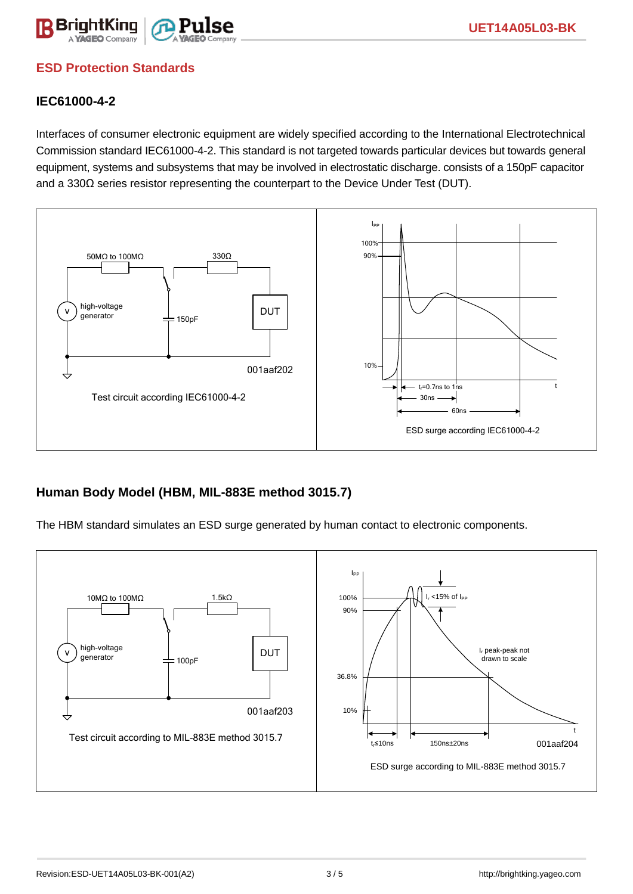

### **ESD Protection Standards**

#### **IEC61000-4-2**

Interfaces of consumer electronic equipment are widely specified according to the International Electrotechnical Commission standard IEC61000-4-2. This standard is not targeted towards particular devices but towards general equipment, systems and subsystems that may be involved in electrostatic discharge. consists of a 150pF capacitor and a 330Ω series resistor representing the counterpart to the Device Under Test (DUT).



### **Human Body Model (HBM, MIL-883E method 3015.7)**

The HBM standard simulates an ESD surge generated by human contact to electronic components.

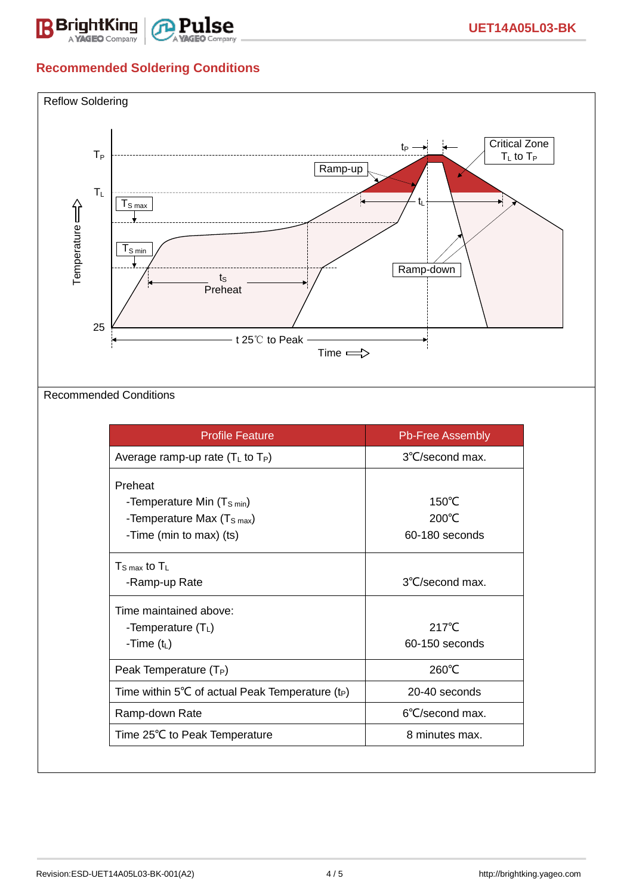

## **Recommended Soldering Conditions**